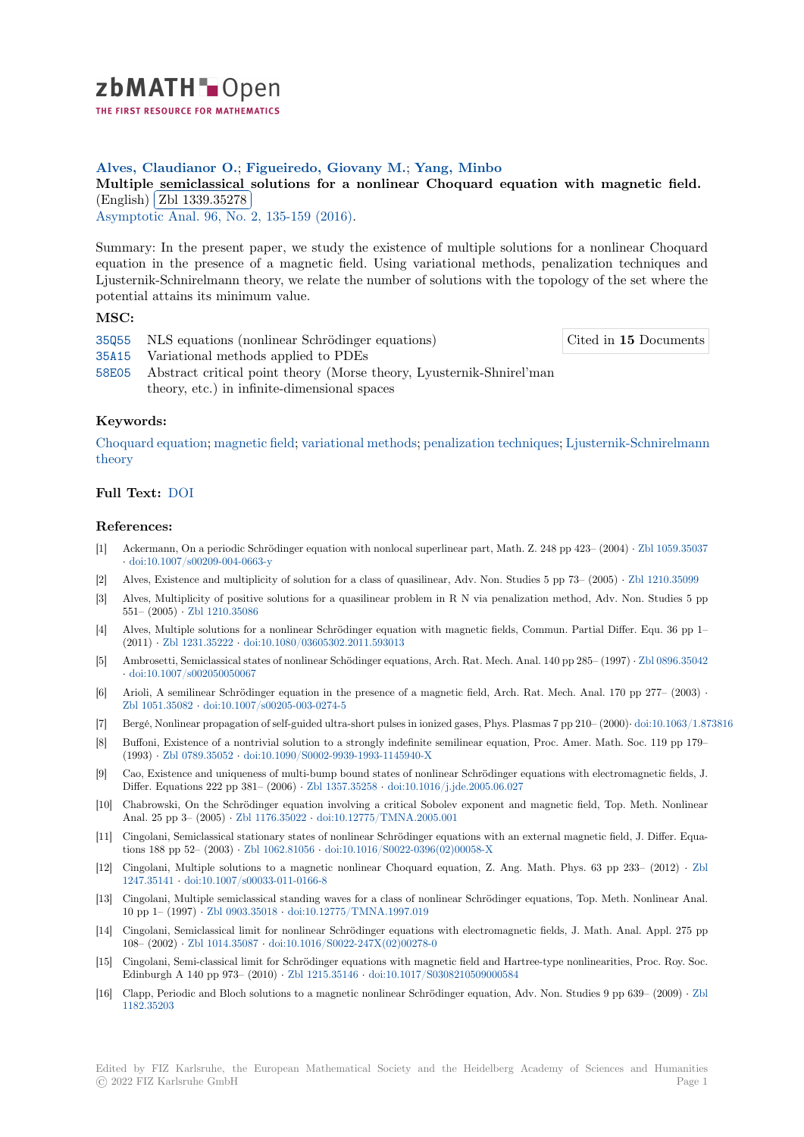

## **Alves, Claudianor O.**; **Figueiredo, Giovany M.**; **Yang, Minbo**

# **[M](https://zbmath.org/)ultiple semiclassical solutions for a nonlinear Choquard equation with magnetic field.** Multiple semiclassical<br>(English) Zbl 1339.35278

(English) (251 1665.66216)<br>Asymptotic Anal. 96, No. 2, 135-159 (2016).

[Summary: In the present paper, we study the existence of multiple solutions for a nonlinear Choquard](https://zbmath.org/1339.35278) equation [in the presence o](https://zbmath.org/1339.35278)f a magnetic field. Using variational methods, penalization techniques and [Ljusternik-Schnire](https://zbmath.org/journals/?q=se:1214)[lmann theory, we relate th](https://zbmath.org/?q=in:352988)e number of solutions with the topology of the set where the potential attains its minimum value.

### **MSC:**

35Q55 NLS equations (nonlinear Schrödinger equations)

Cited in **15** Documents

- 35A15 Variational methods applied to PDEs
- 58E05 Abstract critical point theory (Morse theory, Lyusternik-Shnirel'man theory, etc.) in infinite-dimensional spaces

## **[Keyw](https://zbmath.org/classification/?q=cc:35A15)ords:**

[Choqu](https://zbmath.org/classification/?q=cc:58E05)ard equation; magnetic field; variational methods; penalization techniques; Ljusternik-Schnirelmann theory

#### **Full Text:** DOI

#### **[Refere](https://zbmath.org/?q=ut:Ljusternik-Schnirelmann+theory)nces:**

- [1] Ackermann, On a periodic Schrödinger equation with nonlocal superlinear part, Math. Z. 248 pp 423– (2004) *·* Zbl 1059.35037 *·* doi:10.1[007/s0](https://dx.doi.org/10.3233/ASY-151337)0209-004-0663-y
- [2] Alves, Existence and multiplicity of solution for a class of quasilinear, Adv. Non. Studies 5 pp 73– (2005) *·* Zbl 1210.35099
- [3] Alves, Multiplicity of positive solutions for a quasilinear problem in R N via penalization method, Adv. Non. Studies 5 pp 551– (2005) *·* Zbl 1210.35086
- [4] [Alves, Multiple solutions for a n](https://dx.doi.org/10.1007/s00209-004-0663-y)onlinear Schrödinger equation with magnetic fields, Commun. Partial Differ. Equ. 36 pp 1– (2011) *·* Zbl 1231.35222 *·* doi:10.1080/03605302.2011.593013
- [5] Ambrosetti, Semiclassical states of nonlinear Schödinger equations, Arch. Rat. Mech. Anal. 140 pp 285– (1997) *·* Zbl 0896.35042 *·* doi:10.1007/[s002050050067](https://zbmath.org/1210.35086)
- [6] Arioli, A semilinear Schrödinger equation in the presence of a magnetic field, Arch. Rat. Mech. Anal. 170 pp 277– (2003) *·* Zbl 1051.35082 *·* [doi:10.](https://zbmath.org/1231.35222)1[007/s00205-003-0274-5](https://dx.doi.org/10.1080/03605302.2011.593013)
- [7] Bergé, Nonlinear propagation of self-guided ultra-short pulses in ionized gases, Phys. Plasmas 7 pp 210– (2000)*·* [doi:10.1063/1.87](https://zbmath.org/0896.35042)3816
- [8] [Buffoni, Existence of a nontr](https://dx.doi.org/10.1007/s002050050067)ivial solution to a strongly indefinite semilinear equation, Proc. Amer. Math. Soc. 119 pp 179– (1993) *·* Zbl 0789.35052 *·* doi:10.1090/S0002-9939-1993-1145940-X
- [9] [Cao, Existence](https://zbmath.org/1051.35082) a[nd uniqueness of multi-bump bo](https://dx.doi.org/10.1007/s00205-003-0274-5)und states of nonlinear Schrödinger equations with electromagnetic fields, J. Differ. Equations 222 pp 381– (2006) *·* Zbl 1357.35258 *·* doi:10.1016/j.jde.2005.06.027
- [10] Chabrowski, On the Schrödinger equation involving a critical Sobolev exponent and magnetic field, Top. Meth. Nonlinear Anal. 25 [pp 3– \(2005\)](https://zbmath.org/0789.35052) *·* Zbl 1176.35022 *·* [doi:10.12775/TMNA.200](https://dx.doi.org/10.1090/S0002-9939-1993-1145940-X)5.001
- [11] Cingolani, Semiclassical stationary states of nonlinear Schrödinger equations with an external magnetic field, J. Differ. Equations 188 pp 52– (2003) *·* Zbl 1062.81056 *·* [doi:10.1016/](https://zbmath.org/1357.35258)[S0022-0396\(02\)00058-X](https://dx.doi.org/10.1016/j.jde.2005.06.027)
- [12] Cingolani, Multiple solutions to a magnetic nonlinear Choquard equation, Z. Ang. Math. Phys. 63 pp 233– (2012) *·* Zbl 1247.35141 *·* doi:10.100[7/s00033-011-01](https://zbmath.org/1176.35022)6[6-8](https://dx.doi.org/10.12775/TMNA.2005.001)
- [13] Cingolani, Multiple semiclassical standing waves for a class of nonlinear Schrödinger equations, Top. Meth. Nonlinear Anal. 10 pp 1– (1997) *·* Zbl 090[3.35018](https://zbmath.org/1062.81056) *·* doi:10.1[2775/TMNA.1997.019](https://dx.doi.org/10.1016/S0022-0396(02)00058-X)
- [14] Cingolani, Semiclassical limit for nonlinear Schrödinger equations with electromagnetic fields, J. Math. Anal. Appl. 275 [pp](https://zbmath.org/1247.35141) [108– \(2002\)](https://zbmath.org/1247.35141) *·* [Zbl 1014.35087](https://dx.doi.org/10.1007/s00033-011-0166-8) *·* doi:10.1016/S0022-247X(02)00278-0
- [15] Cingolani, Semi-classical limit for Schrödinger equations with magnetic field and Hartree-type nonlinearities, Proc. Roy. Soc. Edinburgh A 140 [pp 973– \(2010\)](https://zbmath.org/0903.35018) *·* [Zbl 1215.35146](https://dx.doi.org/10.12775/TMNA.1997.019) *·* doi:10.1017/S0308210509000584
- [16] Clapp, Periodic and Bloch solutions to a magnetic nonlinear Schrödinger equation, Adv. Non. Studies 9 pp 639– (2009) *·* Zbl 1182.35203